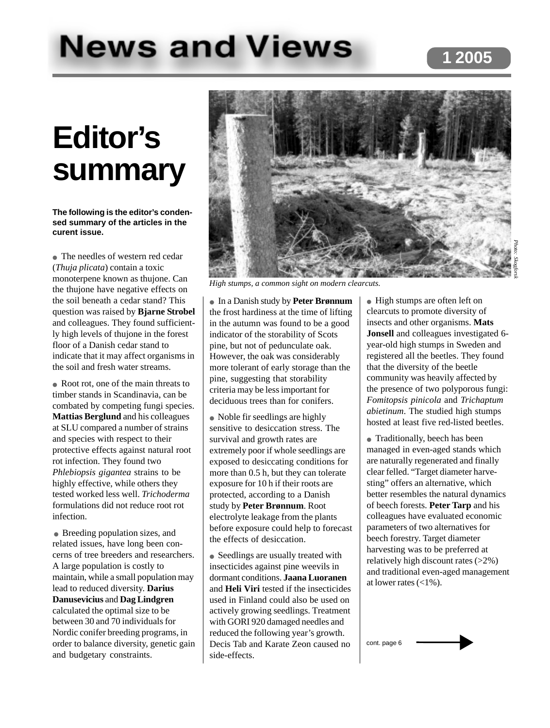# **News and Views**

# **Editor's summary**

**The following is the editor's condensed summary of the articles in the curent issue.**

● The needles of western red cedar (*Thuja plicata*) contain a toxic monoterpene known as thujone. Can the thujone have negative effects on the soil beneath a cedar stand? This question was raised by **Bjarne Strobel** and colleagues. They found sufficiently high levels of thujone in the forest floor of a Danish cedar stand to indicate that it may affect organisms in the soil and fresh water streams.

• Root rot, one of the main threats to timber stands in Scandinavia, can be combated by competing fungi species. **Mattias Berglund** and his colleagues at SLU compared a number of strains and species with respect to their protective effects against natural root rot infection. They found two *Phlebiopsis gigantea* strains to be highly effective, while others they tested worked less well. *Trichoderma* formulations did not reduce root rot infection.

• Breeding population sizes, and related issues, have long been concerns of tree breeders and researchers. A large population is costly to maintain, while a small population may lead to reduced diversity. **Darius Danusevicius** and **Dag Lindgren** calculated the optimal size to be between 30 and 70 individuals for Nordic conifer breeding programs, in order to balance diversity, genetic gain and budgetary constraints.



*High stumps, a common sight on modern clearcuts.*

● In a Danish study by **Peter Brønnum** the frost hardiness at the time of lifting in the autumn was found to be a good indicator of the storability of Scots pine, but not of pedunculate oak. However, the oak was considerably more tolerant of early storage than the pine, suggesting that storability criteria may be less important for deciduous trees than for conifers.

• Noble fir seedlings are highly sensitive to desiccation stress. The survival and growth rates are extremely poor if whole seedlings are exposed to desiccating conditions for more than 0.5 h, but they can tolerate exposure for 10 h if their roots are protected, according to a Danish study by **Peter Brønnum**. Root electrolyte leakage from the plants before exposure could help to forecast the effects of desiccation.

• Seedlings are usually treated with insecticides against pine weevils in dormant conditions. **Jaana Luoranen** and **Heli Viri** tested if the insecticides used in Finland could also be used on actively growing seedlings. Treatment with GORI 920 damaged needles and reduced the following year's growth. Decis Tab and Karate Zeon caused no side-effects.

● High stumps are often left on clearcuts to promote diversity of insects and other organisms. **Mats Jonsell** and colleagues investigated 6 year-old high stumps in Sweden and registered all the beetles. They found that the diversity of the beetle community was heavily affected by the presence of two polyporous fungi: *Fomitopsis pinicola* and *Trichaptum abietinum*. The studied high stumps hosted at least five red-listed beetles.

• Traditionally, beech has been managed in even-aged stands which are naturally regenerated and finally clear felled. "Target diameter harvesting" offers an alternative, which better resembles the natural dynamics of beech forests. **Peter Tarp** and his colleagues have evaluated economic parameters of two alternatives for beech forestry. Target diameter harvesting was to be preferred at relatively high discount rates (>2%) and traditional even-aged management at lower rates  $\left( <1\% \right)$ .

cont. page 6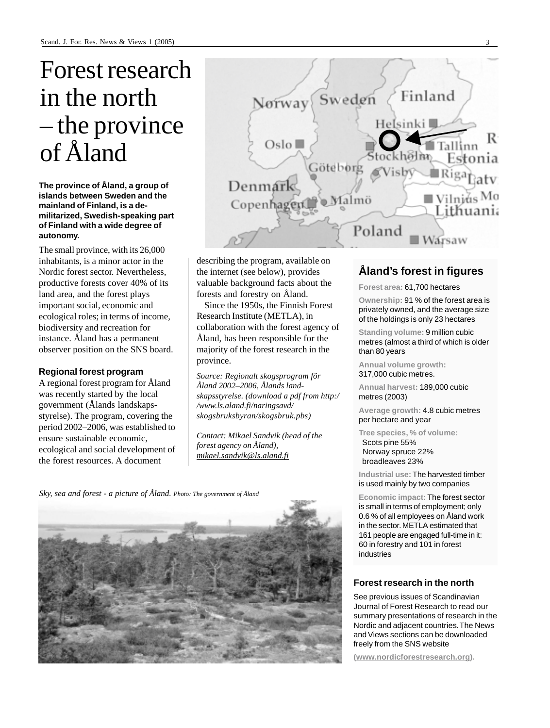## Forest research in the north – the province of Åland

**The province of Åland, a group of islands between Sweden and the mainland of Finland, is a demilitarized, Swedish-speaking part of Finland with a wide degree of autonomy.**

The small province, with its 26,000 inhabitants, is a minor actor in the Nordic forest sector. Nevertheless, productive forests cover 40% of its land area, and the forest plays important social, economic and ecological roles; in terms of income, biodiversity and recreation for instance. Åland has a permanent observer position on the SNS board.

#### **Regional forest program**

A regional forest program for Åland was recently started by the local government (Ålands landskapsstyrelse). The program, covering the period 2002–2006, was established to ensure sustainable economic, ecological and social development of the forest resources. A document



describing the program, available on the internet (see below), provides valuable background facts about the forests and forestry on Åland.

Since the 1950s, the Finnish Forest Research Institute (METLA), in collaboration with the forest agency of Åland, has been responsible for the majority of the forest research in the province.

*Source: Regionalt skogsprogram för Åland 2002–2006, Ålands landskapsstyrelse. (download a pdf from http:/ /www.ls.aland.fi/naringsavd/ skogsbruksbyran/skogsbruk.pbs)*

*Contact: Mikael Sandvik (head of the forest agency on Åland), mikael.sandvik@ls.aland.fi*

*Sky, sea and forest - a picture of Åland. Photo: The government of Åland*



#### **Åland's forest in figures**

#### **Forest area:** 61,700 hectares

**Ownership:** 91 % of the forest area is privately owned, and the average size of the holdings is only 23 hectares

**Standing volume:** 9 million cubic metres (almost a third of which is older than 80 years

**Annual volume growth:** 317,000 cubic metres.

**Annual harvest:** 189,000 cubic metres (2003)

**Average growth:** 4.8 cubic metres per hectare and year

**Tree species, % of volume:** Scots pine 55% Norway spruce 22% broadleaves 23%

**Industrial use:** The harvested timber is used mainly by two companies

**Economic impact:** The forest sector is small in terms of employment; only 0.6 % of all employees on Åland work in the sector. METLA estimated that 161 people are engaged full-time in it: 60 in forestry and 101 in forest industries

#### **Forest research in the north**

See previous issues of Scandinavian Journal of Forest Research to read our summary presentations of research in the Nordic and adjacent countries. The News and Views sections can be downloaded freely from the SNS website

**(www.nordicforestresearch.org).**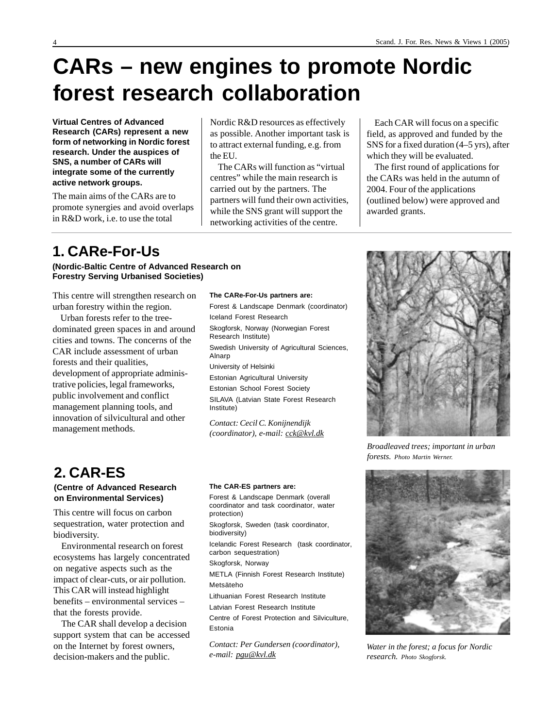## **CARs – new engines to promote Nordic forest research collaboration**

**Virtual Centres of Advanced Research (CARs) represent a new form of networking in Nordic forest research. Under the auspices of SNS, a number of CARs will integrate some of the currently active network groups.**

The main aims of the CARs are to promote synergies and avoid overlaps in R&D work, i.e. to use the total

Nordic R&D resources as effectively as possible. Another important task is to attract external funding, e.g. from the EU.

The CARs will function as "virtual centres" while the main research is carried out by the partners. The partners will fund their own activities, while the SNS grant will support the networking activities of the centre.

Each CAR will focus on a specific field, as approved and funded by the SNS for a fixed duration (4–5 yrs), after which they will be evaluated.

The first round of applications for the CARs was held in the autumn of 2004. Four of the applications (outlined below) were approved and awarded grants.

## **1. CARe-For-Us**

#### **(Nordic-Baltic Centre of Advanced Research on Forestry Serving Urbanised Societies)**

This centre will strengthen research on urban forestry within the region.

Urban forests refer to the treedominated green spaces in and around cities and towns. The concerns of the CAR include assessment of urban forests and their qualities, development of appropriate administrative policies, legal frameworks, public involvement and conflict management planning tools, and innovation of silvicultural and other management methods.

#### **The CARe-For-Us partners are:**

Forest & Landscape Denmark (coordinator) Iceland Forest Research Skogforsk, Norway (Norwegian Forest Research Institute) Swedish University of Agricultural Sciences, Alnarp University of Helsinki Estonian Agricultural University Estonian School Forest Society SILAVA (Latvian State Forest Research Institute) *Contact: Cecil C. Konijnendijk*

## **2. CAR-ES**

#### **(Centre of Advanced Research on Environmental Services)**

This centre will focus on carbon sequestration, water protection and biodiversity.

Environmental research on forest ecosystems has largely concentrated on negative aspects such as the impact of clear-cuts, or air pollution. This CAR will instead highlight benefits – environmental services – that the forests provide.

The CAR shall develop a decision support system that can be accessed on the Internet by forest owners, decision-makers and the public.

#### **The CAR-ES partners are:**

Forest & Landscape Denmark (overall coordinator and task coordinator, water protection)

*(coordinator), e-mail: cck@kvl.dk*

Skogforsk, Sweden (task coordinator, biodiversity)

Icelandic Forest Research (task coordinator, carbon sequestration)

Skogforsk, Norway

METLA (Finnish Forest Research Institute) Metsäteho

Lithuanian Forest Research Institute

Latvian Forest Research Institute

Centre of Forest Protection and Silviculture, Estonia

*Contact: Per Gundersen (coordinator), e-mail: pgu@kvl.dk*



*Broadleaved trees; important in urban forests. Photo Martin Werner.*



*Water in the forest; a focus for Nordic research. Photo Skogforsk.*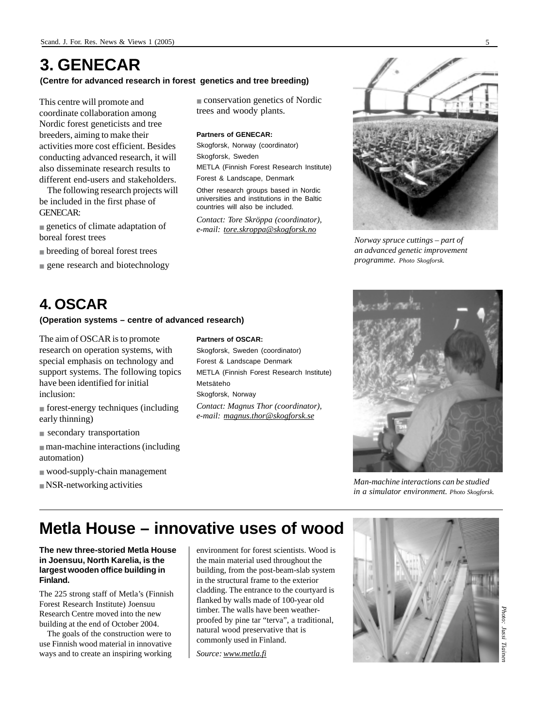## **3. GENECAR**

#### **(Centre for advanced research in forest genetics and tree breeding)**

This centre will promote and coordinate collaboration among Nordic forest geneticists and tree breeders, aiming to make their activities more cost efficient. Besides conducting advanced research, it will also disseminate research results to different end-users and stakeholders.

The following research projects will be included in the first phase of GENECAR:

■ genetics of climate adaptation of boreal forest trees

■ breeding of boreal forest trees

■ gene research and biotechnology

## **4. OSCAR**

#### **(Operation systems – centre of advanced research)**

The aim of OSCAR is to promote research on operation systems, with special emphasis on technology and support systems. The following topics have been identified for initial inclusion:

- forest-energy techniques (including early thinning)
- secondary transportation
- man-machine interactions (including automation)
- wood-supply-chain management
- $\blacksquare$  NSR-networking activities

#### **Partners of OSCAR:**

Skogforsk, Sweden (coordinator) Forest & Landscape Denmark METLA (Finnish Forest Research Institute) Metsäteho Skogforsk, Norway *Contact: Magnus Thor (coordinator), e-mail: magnus.thor@skogforsk.se*

■ conservation genetics of Nordic

METLA (Finnish Forest Research Institute)

*Contact: Tore Skröppa (coordinator), e-mail: tore.skroppa@skogforsk.no*

trees and woody plants.

Forest & Landscape, Denmark Other research groups based in Nordic universities and institutions in the Baltic countries will also be included.

**Partners of GENECAR:** Skogforsk, Norway (coordinator)

Skogforsk, Sweden



*Norway spruce cuttings – part of an advanced genetic improvement programme. Photo Skogforsk.*



*Man-machine interactions can be studied in a simulator environment. Photo Skogforsk.*

## **Metla House – innovative uses of wood**

#### **The new three-storied Metla House in Joensuu, North Karelia, is the largest wooden office building in Finland.**

The 225 strong staff of Metla's (Finnish Forest Research Institute) Joensuu Research Centre moved into the new building at the end of October 2004.

The goals of the construction were to use Finnish wood material in innovative ways and to create an inspiring working environment for forest scientists. Wood is the main material used throughout the building, from the post-beam-slab system in the structural frame to the exterior cladding. The entrance to the courtyard is flanked by walls made of 100-year old timber. The walls have been weatherproofed by pine tar "terva", a traditional, natural wood preservative that is commonly used in Finland.

*Source: www.metla.fi*